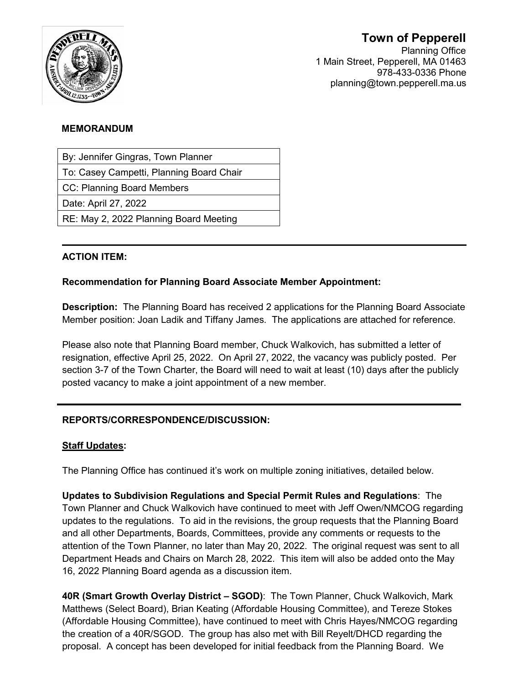

# **Town of Pepperell**

Planning Office 1 Main Street, Pepperell, MA 01463 978-433-0336 Phone planning@town.pepperell.ma.us

#### **MEMORANDUM**

By: Jennifer Gingras, Town Planner

To: Casey Campetti, Planning Board Chair

CC: Planning Board Members

Date: April 27, 2022

RE: May 2, 2022 Planning Board Meeting

### **ACTION ITEM:**

### **Recommendation for Planning Board Associate Member Appointment:**

**Description:** The Planning Board has received 2 applications for the Planning Board Associate Member position: Joan Ladik and Tiffany James. The applications are attached for reference.

Please also note that Planning Board member, Chuck Walkovich, has submitted a letter of resignation, effective April 25, 2022. On April 27, 2022, the vacancy was publicly posted. Per section 3-7 of the Town Charter, the Board will need to wait at least (10) days after the publicly posted vacancy to make a joint appointment of a new member.

## **REPORTS/CORRESPONDENCE/DISCUSSION:**

### **Staff Updates:**

The Planning Office has continued it's work on multiple zoning initiatives, detailed below.

**Updates to Subdivision Regulations and Special Permit Rules and Regulations**: The Town Planner and Chuck Walkovich have continued to meet with Jeff Owen/NMCOG regarding updates to the regulations. To aid in the revisions, the group requests that the Planning Board and all other Departments, Boards, Committees, provide any comments or requests to the attention of the Town Planner, no later than May 20, 2022. The original request was sent to all Department Heads and Chairs on March 28, 2022. This item will also be added onto the May 16, 2022 Planning Board agenda as a discussion item.

**40R (Smart Growth Overlay District – SGOD)**: The Town Planner, Chuck Walkovich, Mark Matthews (Select Board), Brian Keating (Affordable Housing Committee), and Tereze Stokes (Affordable Housing Committee), have continued to meet with Chris Hayes/NMCOG regarding the creation of a 40R/SGOD. The group has also met with Bill Reyelt/DHCD regarding the proposal. A concept has been developed for initial feedback from the Planning Board. We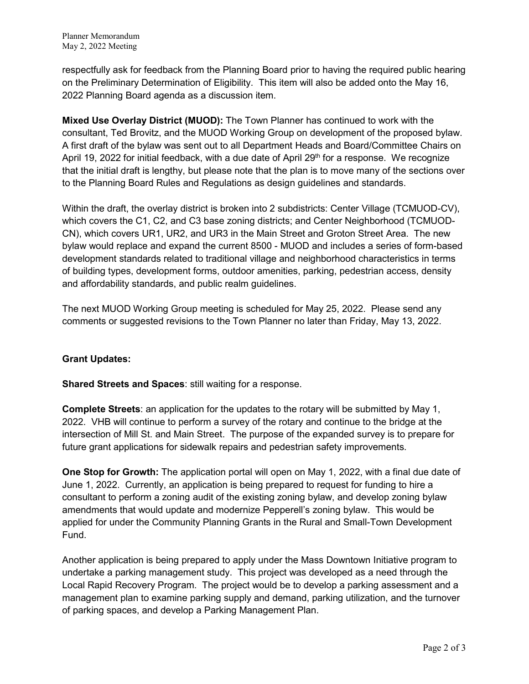respectfully ask for feedback from the Planning Board prior to having the required public hearing on the Preliminary Determination of Eligibility. This item will also be added onto the May 16, 2022 Planning Board agenda as a discussion item.

**Mixed Use Overlay District (MUOD):** The Town Planner has continued to work with the consultant, Ted Brovitz, and the MUOD Working Group on development of the proposed bylaw. A first draft of the bylaw was sent out to all Department Heads and Board/Committee Chairs on April 19, 2022 for initial feedback, with a due date of April  $29<sup>th</sup>$  for a response. We recognize that the initial draft is lengthy, but please note that the plan is to move many of the sections over to the Planning Board Rules and Regulations as design guidelines and standards.

Within the draft, the overlay district is broken into 2 subdistricts: Center Village (TCMUOD-CV), which covers the C1, C2, and C3 base zoning districts; and Center Neighborhood (TCMUOD-CN), which covers UR1, UR2, and UR3 in the Main Street and Groton Street Area. The new bylaw would replace and expand the current 8500 - MUOD and includes a series of form-based development standards related to traditional village and neighborhood characteristics in terms of building types, development forms, outdoor amenities, parking, pedestrian access, density and affordability standards, and public realm guidelines.

The next MUOD Working Group meeting is scheduled for May 25, 2022. Please send any comments or suggested revisions to the Town Planner no later than Friday, May 13, 2022.

### **Grant Updates:**

**Shared Streets and Spaces**: still waiting for a response.

**Complete Streets**: an application for the updates to the rotary will be submitted by May 1, 2022. VHB will continue to perform a survey of the rotary and continue to the bridge at the intersection of Mill St. and Main Street. The purpose of the expanded survey is to prepare for future grant applications for sidewalk repairs and pedestrian safety improvements.

**One Stop for Growth:** The application portal will open on May 1, 2022, with a final due date of June 1, 2022. Currently, an application is being prepared to request for funding to hire a consultant to perform a zoning audit of the existing zoning bylaw, and develop zoning bylaw amendments that would update and modernize Pepperell's zoning bylaw. This would be applied for under the Community Planning Grants in the Rural and Small-Town Development Fund.

Another application is being prepared to apply under the Mass Downtown Initiative program to undertake a parking management study. This project was developed as a need through the Local Rapid Recovery Program. The project would be to develop a parking assessment and a management plan to examine parking supply and demand, parking utilization, and the turnover of parking spaces, and develop a Parking Management Plan.